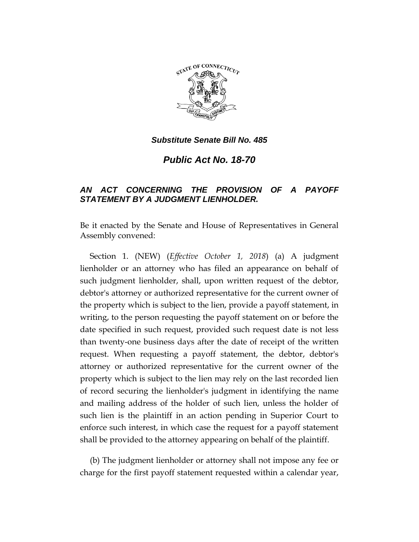

*Substitute Senate Bill No. 485*

*Public Act No. 18-70*

## *AN ACT CONCERNING THE PROVISION OF A PAYOFF STATEMENT BY A JUDGMENT LIENHOLDER.*

Be it enacted by the Senate and House of Representatives in General Assembly convened:

Section 1. (NEW) (*Effective October 1, 2018*) (a) A judgment lienholder or an attorney who has filed an appearance on behalf of such judgment lienholder, shall, upon written request of the debtor, debtor's attorney or authorized representative for the current owner of the property which is subject to the lien, provide a payoff statement, in writing, to the person requesting the payoff statement on or before the date specified in such request, provided such request date is not less than twenty-one business days after the date of receipt of the written request. When requesting a payoff statement, the debtor, debtor's attorney or authorized representative for the current owner of the property which is subject to the lien may rely on the last recorded lien of record securing the lienholder's judgment in identifying the name and mailing address of the holder of such lien, unless the holder of such lien is the plaintiff in an action pending in Superior Court to enforce such interest, in which case the request for a payoff statement shall be provided to the attorney appearing on behalf of the plaintiff.

(b) The judgment lienholder or attorney shall not impose any fee or charge for the first payoff statement requested within a calendar year,